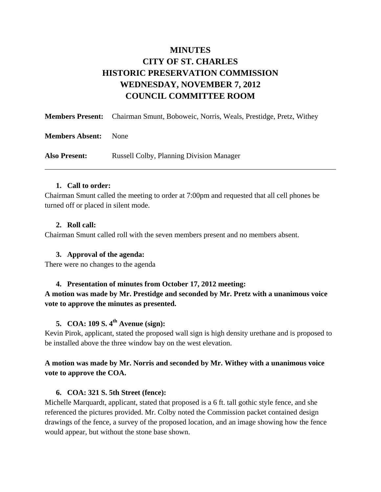# **MINUTES CITY OF ST. CHARLES HISTORIC PRESERVATION COMMISSION WEDNESDAY, NOVEMBER 7, 2012 COUNCIL COMMITTEE ROOM**

|                        | <b>Members Present:</b> Chairman Smunt, Boboweic, Norris, Weals, Prestidge, Pretz, Withey |
|------------------------|-------------------------------------------------------------------------------------------|
| <b>Members Absent:</b> | <b>None</b>                                                                               |
| <b>Also Present:</b>   | <b>Russell Colby, Planning Division Manager</b>                                           |

### **1. Call to order:**

Chairman Smunt called the meeting to order at 7:00pm and requested that all cell phones be turned off or placed in silent mode.

#### **2. Roll call:**

Chairman Smunt called roll with the seven members present and no members absent.

### **3. Approval of the agenda:**

There were no changes to the agenda

#### **4. Presentation of minutes from October 17, 2012 meeting:**

**A motion was made by Mr. Prestidge and seconded by Mr. Pretz with a unanimous voice vote to approve the minutes as presented.** 

# **5. COA: 109 S. 4th Avenue (sign):**

Kevin Pirok, applicant, stated the proposed wall sign is high density urethane and is proposed to be installed above the three window bay on the west elevation.

# **A motion was made by Mr. Norris and seconded by Mr. Withey with a unanimous voice vote to approve the COA.**

### **6. COA: 321 S. 5th Street (fence):**

Michelle Marquardt, applicant, stated that proposed is a 6 ft. tall gothic style fence, and she referenced the pictures provided. Mr. Colby noted the Commission packet contained design drawings of the fence, a survey of the proposed location, and an image showing how the fence would appear, but without the stone base shown.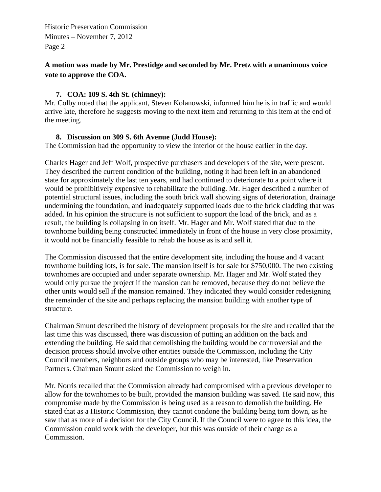Historic Preservation Commission Minutes – November 7, 2012 Page 2

# **A motion was made by Mr. Prestidge and seconded by Mr. Pretz with a unanimous voice vote to approve the COA.**

### **7. COA: 109 S. 4th St. (chimney):**

Mr. Colby noted that the applicant, Steven Kolanowski, informed him he is in traffic and would arrive late, therefore he suggests moving to the next item and returning to this item at the end of the meeting.

### **8. Discussion on 309 S. 6th Avenue (Judd House):**

The Commission had the opportunity to view the interior of the house earlier in the day.

Charles Hager and Jeff Wolf, prospective purchasers and developers of the site, were present. They described the current condition of the building, noting it had been left in an abandoned state for approximately the last ten years, and had continued to deteriorate to a point where it would be prohibitively expensive to rehabilitate the building. Mr. Hager described a number of potential structural issues, including the south brick wall showing signs of deterioration, drainage undermining the foundation, and inadequately supported loads due to the brick cladding that was added. In his opinion the structure is not sufficient to support the load of the brick, and as a result, the building is collapsing in on itself. Mr. Hager and Mr. Wolf stated that due to the townhome building being constructed immediately in front of the house in very close proximity, it would not be financially feasible to rehab the house as is and sell it.

The Commission discussed that the entire development site, including the house and 4 vacant townhome building lots, is for sale. The mansion itself is for sale for \$750,000. The two existing townhomes are occupied and under separate ownership. Mr. Hager and Mr. Wolf stated they would only pursue the project if the mansion can be removed, because they do not believe the other units would sell if the mansion remained. They indicated they would consider redesigning the remainder of the site and perhaps replacing the mansion building with another type of structure.

Chairman Smunt described the history of development proposals for the site and recalled that the last time this was discussed, there was discussion of putting an addition on the back and extending the building. He said that demolishing the building would be controversial and the decision process should involve other entities outside the Commission, including the City Council members, neighbors and outside groups who may be interested, like Preservation Partners. Chairman Smunt asked the Commission to weigh in.

Mr. Norris recalled that the Commission already had compromised with a previous developer to allow for the townhomes to be built, provided the mansion building was saved. He said now, this compromise made by the Commission is being used as a reason to demolish the building. He stated that as a Historic Commission, they cannot condone the building being torn down, as he saw that as more of a decision for the City Council. If the Council were to agree to this idea, the Commission could work with the developer, but this was outside of their charge as a Commission.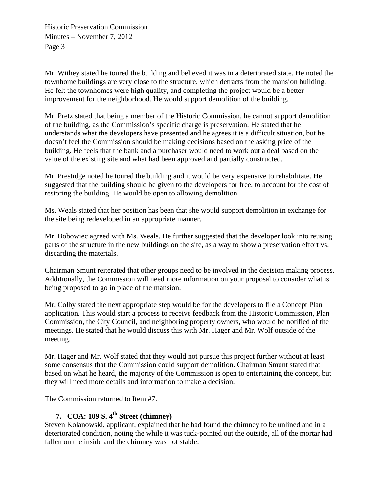Historic Preservation Commission Minutes – November 7, 2012 Page 3

Mr. Withey stated he toured the building and believed it was in a deteriorated state. He noted the townhome buildings are very close to the structure, which detracts from the mansion building. He felt the townhomes were high quality, and completing the project would be a better improvement for the neighborhood. He would support demolition of the building.

Mr. Pretz stated that being a member of the Historic Commission, he cannot support demolition of the building, as the Commission's specific charge is preservation. He stated that he understands what the developers have presented and he agrees it is a difficult situation, but he doesn't feel the Commission should be making decisions based on the asking price of the building. He feels that the bank and a purchaser would need to work out a deal based on the value of the existing site and what had been approved and partially constructed.

Mr. Prestidge noted he toured the building and it would be very expensive to rehabilitate. He suggested that the building should be given to the developers for free, to account for the cost of restoring the building. He would be open to allowing demolition.

Ms. Weals stated that her position has been that she would support demolition in exchange for the site being redeveloped in an appropriate manner.

Mr. Bobowiec agreed with Ms. Weals. He further suggested that the developer look into reusing parts of the structure in the new buildings on the site, as a way to show a preservation effort vs. discarding the materials.

Chairman Smunt reiterated that other groups need to be involved in the decision making process. Additionally, the Commission will need more information on your proposal to consider what is being proposed to go in place of the mansion.

Mr. Colby stated the next appropriate step would be for the developers to file a Concept Plan application. This would start a process to receive feedback from the Historic Commission, Plan Commission, the City Council, and neighboring property owners, who would be notified of the meetings. He stated that he would discuss this with Mr. Hager and Mr. Wolf outside of the meeting.

Mr. Hager and Mr. Wolf stated that they would not pursue this project further without at least some consensus that the Commission could support demolition. Chairman Smunt stated that based on what he heard, the majority of the Commission is open to entertaining the concept, but they will need more details and information to make a decision.

The Commission returned to Item #7.

# **7. COA: 109 S. 4th Street (chimney)**

Steven Kolanowski, applicant, explained that he had found the chimney to be unlined and in a deteriorated condition, noting the while it was tuck-pointed out the outside, all of the mortar had fallen on the inside and the chimney was not stable.